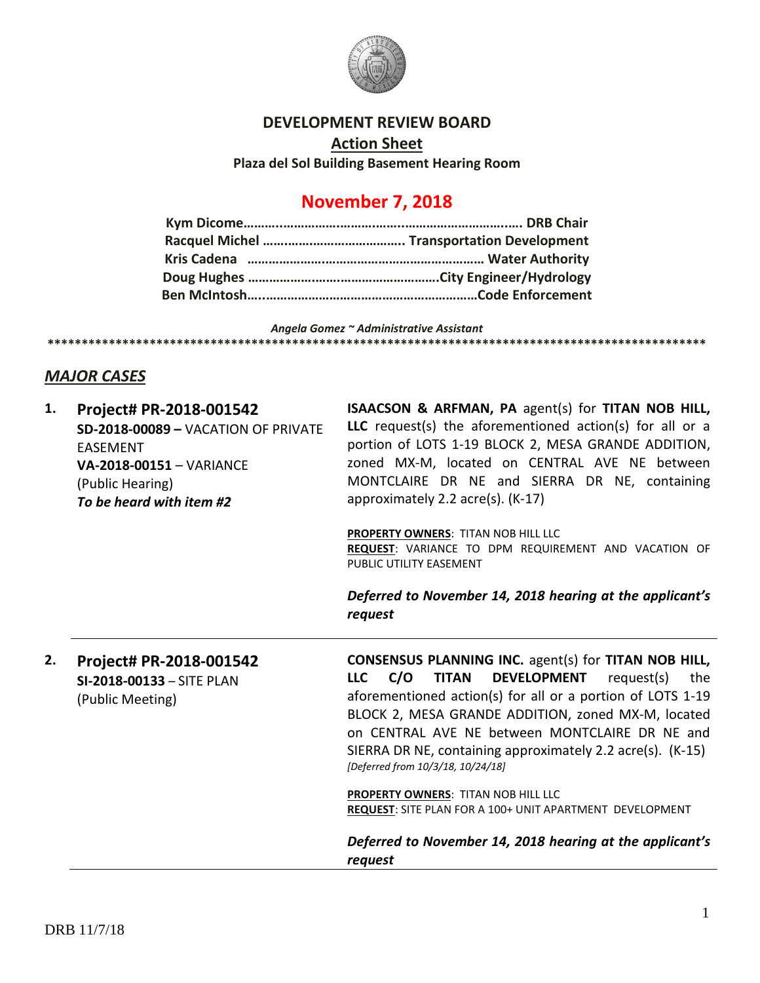

### **DEVELOPMENT REVIEW BOARD**

**Action Sheet**

**Plaza del Sol Building Basement Hearing Room**

# **November 7, 2018**

*Angela Gomez ~ Administrative Assistant* **\*\*\*\*\*\*\*\*\*\*\*\*\*\*\*\*\*\*\*\*\*\*\*\*\*\*\*\*\*\*\*\*\*\*\*\*\*\*\*\*\*\*\*\*\*\*\*\*\*\*\*\*\*\*\*\*\*\*\*\*\*\*\*\*\*\*\*\*\*\*\*\*\*\*\*\*\*\*\*\*\*\*\*\*\*\*\*\*\*\*\*\*\*\*\*\*\***

## *MAJOR CASES*

| 1. | Project# PR-2018-001542             | ISAACSON & ARFMAN, PA agent(s) for TITAN NOB HILL,                                                                     |
|----|-------------------------------------|------------------------------------------------------------------------------------------------------------------------|
|    | SD-2018-00089 - VACATION OF PRIVATE | LLC request(s) the aforementioned action(s) for all or a                                                               |
|    | <b>EASEMENT</b>                     | portion of LOTS 1-19 BLOCK 2, MESA GRANDE ADDITION,                                                                    |
|    | VA-2018-00151 - VARIANCE            | zoned MX-M, located on CENTRAL AVE NE between                                                                          |
|    | (Public Hearing)                    | MONTCLAIRE DR NE and SIERRA DR NE, containing                                                                          |
|    | To be heard with item #2            | approximately 2.2 $\arccos 0$ (K-17)                                                                                   |
|    |                                     | PROPERTY OWNERS: TITAN NOB HILL LLC<br>REQUEST: VARIANCE TO DPM REQUIREMENT AND VACATION OF<br>PUBLIC UTILITY EASEMENT |
|    |                                     | Deferred to November 14, 2018 hearing at the applicant's<br>request                                                    |
| 2. | Project# PR-2018-001542             | <b>CONSENSUS PLANNING INC. agent(s) for TITAN NOB HILL,</b>                                                            |
|    | SI-2018-00133 - SITE PLAN           | <b>DEVELOPMENT</b><br>C/O<br><b>TITAN</b><br>request(s)<br><b>LLC</b><br>the                                           |
|    | (Public Meeting)                    | aforementioned action(s) for all or a portion of LOTS 1-19<br>BLOCK 2, MESA GRANDE ADDITION, zoned MX-M, located       |
|    |                                     | on CENTRAL AVE NE between MONTCLAIRE DR NE and                                                                         |
|    |                                     | SIERRA DR NE, containing approximately 2.2 acre(s). (K-15)<br>[Deferred from 10/3/18, 10/24/18]                        |
|    |                                     |                                                                                                                        |
|    |                                     | PROPERTY OWNERS: TITAN NOB HILL LLC<br>REQUEST: SITE PLAN FOR A 100+ UNIT APARTMENT DEVELOPMENT                        |
|    |                                     | Deferred to November 14, 2018 hearing at the applicant's                                                               |
|    |                                     | request                                                                                                                |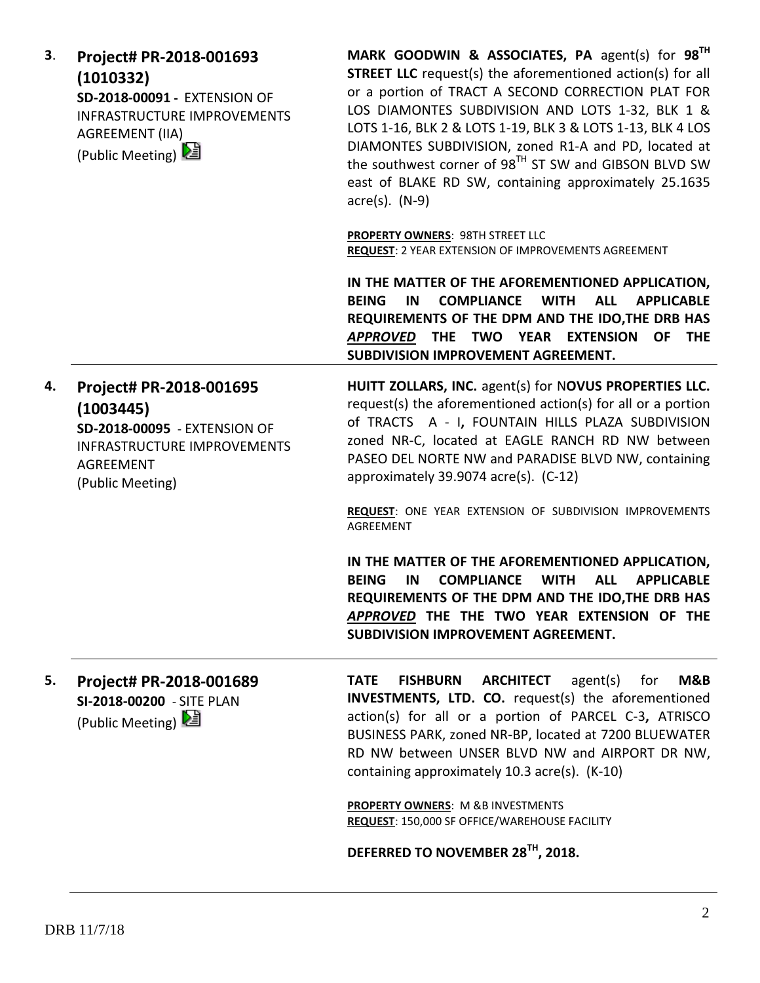| 3. | Project# PR-2018-001693<br>(1010332)<br>SD-2018-00091 - EXTENSION OF<br><b>INFRASTRUCTURE IMPROVEMENTS</b><br>AGREEMENT (IIA)<br>(Public Meeting)  | MARK GOODWIN & ASSOCIATES, PA agent(s) for $98^{\text{TH}}$<br><b>STREET LLC</b> request(s) the aforementioned action(s) for all<br>or a portion of TRACT A SECOND CORRECTION PLAT FOR<br>LOS DIAMONTES SUBDIVISION AND LOTS 1-32, BLK 1 &<br>LOTS 1-16, BLK 2 & LOTS 1-19, BLK 3 & LOTS 1-13, BLK 4 LOS<br>DIAMONTES SUBDIVISION, zoned R1-A and PD, located at<br>the southwest corner of 98 <sup>TH</sup> ST SW and GIBSON BLVD SW<br>east of BLAKE RD SW, containing approximately 25.1635<br>$\arccos(5)$ . (N-9) |
|----|----------------------------------------------------------------------------------------------------------------------------------------------------|------------------------------------------------------------------------------------------------------------------------------------------------------------------------------------------------------------------------------------------------------------------------------------------------------------------------------------------------------------------------------------------------------------------------------------------------------------------------------------------------------------------------|
|    |                                                                                                                                                    | <b>PROPERTY OWNERS: 98TH STREET LLC</b><br>REQUEST: 2 YEAR EXTENSION OF IMPROVEMENTS AGREEMENT                                                                                                                                                                                                                                                                                                                                                                                                                         |
|    |                                                                                                                                                    | IN THE MATTER OF THE AFOREMENTIONED APPLICATION,<br><b>BEING</b><br><b>COMPLIANCE</b><br><b>WITH</b><br><b>ALL</b><br><b>APPLICABLE</b><br>IN<br>REQUIREMENTS OF THE DPM AND THE IDO, THE DRB HAS<br>THE TWO YEAR EXTENSION<br>OF THE<br><b>APPROVED</b><br>SUBDIVISION IMPROVEMENT AGREEMENT.                                                                                                                                                                                                                         |
| 4. | Project# PR-2018-001695<br>(1003445)<br>SD-2018-00095 - EXTENSION OF<br><b>INFRASTRUCTURE IMPROVEMENTS</b><br><b>AGREEMENT</b><br>(Public Meeting) | HUITT ZOLLARS, INC. agent(s) for NOVUS PROPERTIES LLC.<br>request(s) the aforementioned action(s) for all or a portion<br>of TRACTS A - I, FOUNTAIN HILLS PLAZA SUBDIVISION<br>zoned NR-C, located at EAGLE RANCH RD NW between<br>PASEO DEL NORTE NW and PARADISE BLVD NW, containing<br>approximately 39.9074 acre(s). (C-12)                                                                                                                                                                                        |
|    |                                                                                                                                                    | REQUEST: ONE YEAR EXTENSION OF SUBDIVISION IMPROVEMENTS<br>AGREEMENT                                                                                                                                                                                                                                                                                                                                                                                                                                                   |
|    |                                                                                                                                                    | IN THE MATTER OF THE AFOREMENTIONED APPLICATION,<br><b>BEING</b><br><b>COMPLIANCE</b><br><b>WITH</b><br><b>ALL</b><br><b>APPLICABLE</b><br>IN<br>REQUIREMENTS OF THE DPM AND THE IDO, THE DRB HAS<br>APPROVED THE THE TWO YEAR EXTENSION OF THE<br>SUBDIVISION IMPROVEMENT AGREEMENT.                                                                                                                                                                                                                                  |
| 5. | Project# PR-2018-001689<br>SI-2018-00200 - SITE PLAN<br>(Public Meeting)                                                                           | <b>ARCHITECT</b><br>agent(s)<br>M&B<br><b>TATE</b><br><b>FISHBURN</b><br>for<br><b>INVESTMENTS, LTD. CO.</b> request(s) the aforementioned<br>action(s) for all or a portion of PARCEL C-3, ATRISCO<br>BUSINESS PARK, zoned NR-BP, located at 7200 BLUEWATER<br>RD NW between UNSER BLVD NW and AIRPORT DR NW,<br>containing approximately 10.3 acre(s). (K-10)                                                                                                                                                        |
|    |                                                                                                                                                    | PROPERTY OWNERS: M &B INVESTMENTS<br>REQUEST: 150,000 SF OFFICE/WAREHOUSE FACILITY                                                                                                                                                                                                                                                                                                                                                                                                                                     |
|    |                                                                                                                                                    | DEFERRED TO NOVEMBER 28 <sup>TH</sup> , 2018.                                                                                                                                                                                                                                                                                                                                                                                                                                                                          |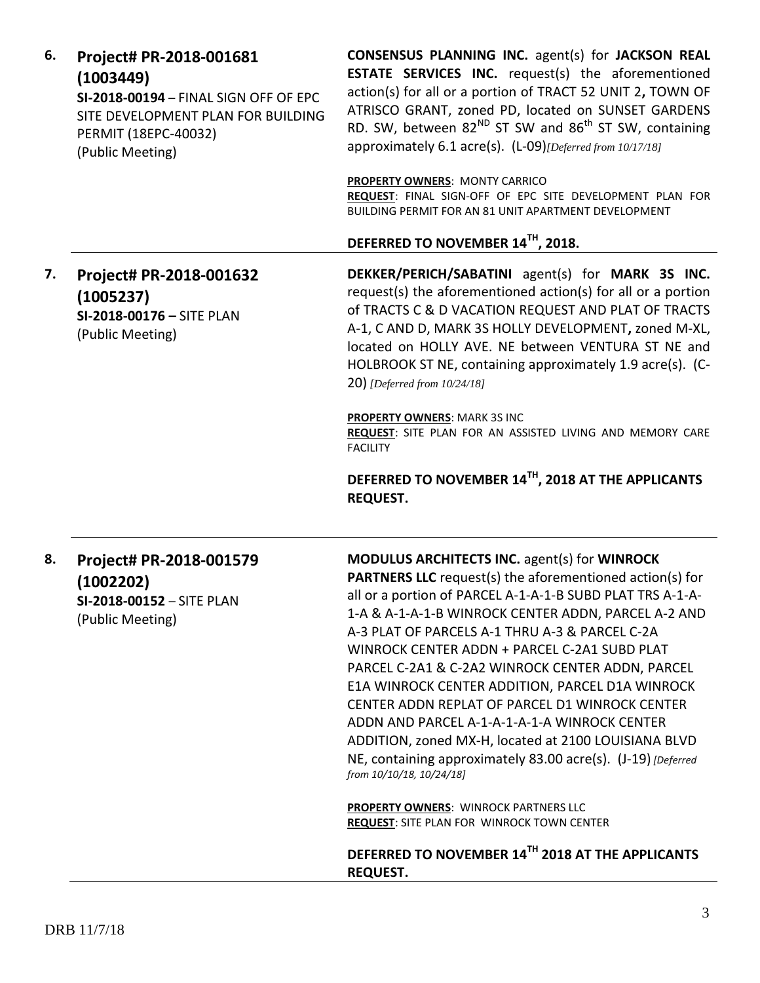|    | (1003449)<br>SI-2018-00194 - FINAL SIGN OFF OF EPC<br>SITE DEVELOPMENT PLAN FOR BUILDING<br>PERMIT (18EPC-40032)<br>(Public Meeting) | <b>ESTATE SERVICES INC.</b> request(s) the aforementioned<br>action(s) for all or a portion of TRACT 52 UNIT 2, TOWN OF<br>ATRISCO GRANT, zoned PD, located on SUNSET GARDENS<br>RD. SW, between 82 <sup>ND</sup> ST SW and 86 <sup>th</sup> ST SW, containing<br>approximately 6.1 acre(s). (L-09)[Deferred from 10/17/18]<br><b>PROPERTY OWNERS: MONTY CARRICO</b><br>REQUEST: FINAL SIGN-OFF OF EPC SITE DEVELOPMENT PLAN FOR<br>BUILDING PERMIT FOR AN 81 UNIT APARTMENT DEVELOPMENT<br>DEFERRED TO NOVEMBER 14TH, 2018.                                                                                                                                                                                                                       |
|----|--------------------------------------------------------------------------------------------------------------------------------------|----------------------------------------------------------------------------------------------------------------------------------------------------------------------------------------------------------------------------------------------------------------------------------------------------------------------------------------------------------------------------------------------------------------------------------------------------------------------------------------------------------------------------------------------------------------------------------------------------------------------------------------------------------------------------------------------------------------------------------------------------|
| 7. | Project# PR-2018-001632<br>(1005237)<br>SI-2018-00176 - SITE PLAN<br>(Public Meeting)                                                | DEKKER/PERICH/SABATINI agent(s) for MARK 3S INC.<br>request(s) the aforementioned action(s) for all or a portion<br>of TRACTS C & D VACATION REQUEST AND PLAT OF TRACTS<br>A-1, C AND D, MARK 3S HOLLY DEVELOPMENT, zoned M-XL,<br>located on HOLLY AVE. NE between VENTURA ST NE and<br>HOLBROOK ST NE, containing approximately 1.9 acre(s). (C-<br>20) [Deferred from 10/24/18]                                                                                                                                                                                                                                                                                                                                                                 |
|    |                                                                                                                                      | <b>PROPERTY OWNERS: MARK 3S INC</b><br>REQUEST: SITE PLAN FOR AN ASSISTED LIVING AND MEMORY CARE<br><b>FACILITY</b><br>DEFERRED TO NOVEMBER 14TH, 2018 AT THE APPLICANTS<br><b>REQUEST.</b>                                                                                                                                                                                                                                                                                                                                                                                                                                                                                                                                                        |
| 8. | Project# PR-2018-001579<br>(1002202)<br>SI-2018-00152 - SITE PLAN<br>(Public Meeting)                                                | MODULUS ARCHITECTS INC. agent(s) for WINROCK<br><b>PARTNERS LLC</b> request(s) the aforementioned action(s) for<br>all or a portion of PARCEL A-1-A-1-B SUBD PLAT TRS A-1-A-<br>1-A & A-1-A-1-B WINROCK CENTER ADDN, PARCEL A-2 AND<br>A-3 PLAT OF PARCELS A-1 THRU A-3 & PARCEL C-2A<br>WINROCK CENTER ADDN + PARCEL C-2A1 SUBD PLAT<br>PARCEL C-2A1 & C-2A2 WINROCK CENTER ADDN, PARCEL<br>E1A WINROCK CENTER ADDITION, PARCEL D1A WINROCK<br>CENTER ADDN REPLAT OF PARCEL D1 WINROCK CENTER<br>ADDN AND PARCEL A-1-A-1-A-1-A WINROCK CENTER<br>ADDITION, zoned MX-H, located at 2100 LOUISIANA BLVD<br>NE, containing approximately 83.00 acre(s). (J-19) [Deferred<br>from 10/10/18, 10/24/18]<br><b>PROPERTY OWNERS: WINROCK PARTNERS LLC</b> |
|    |                                                                                                                                      | <b>REQUEST: SITE PLAN FOR WINROCK TOWN CENTER</b><br>DEFERRED TO NOVEMBER 14TH 2018 AT THE APPLICANTS<br><b>REQUEST.</b>                                                                                                                                                                                                                                                                                                                                                                                                                                                                                                                                                                                                                           |

**CONSENSUS PLANNING INC.** agent(s) for **JACKSON REAL** 

**6. Project# PR-2018-001681**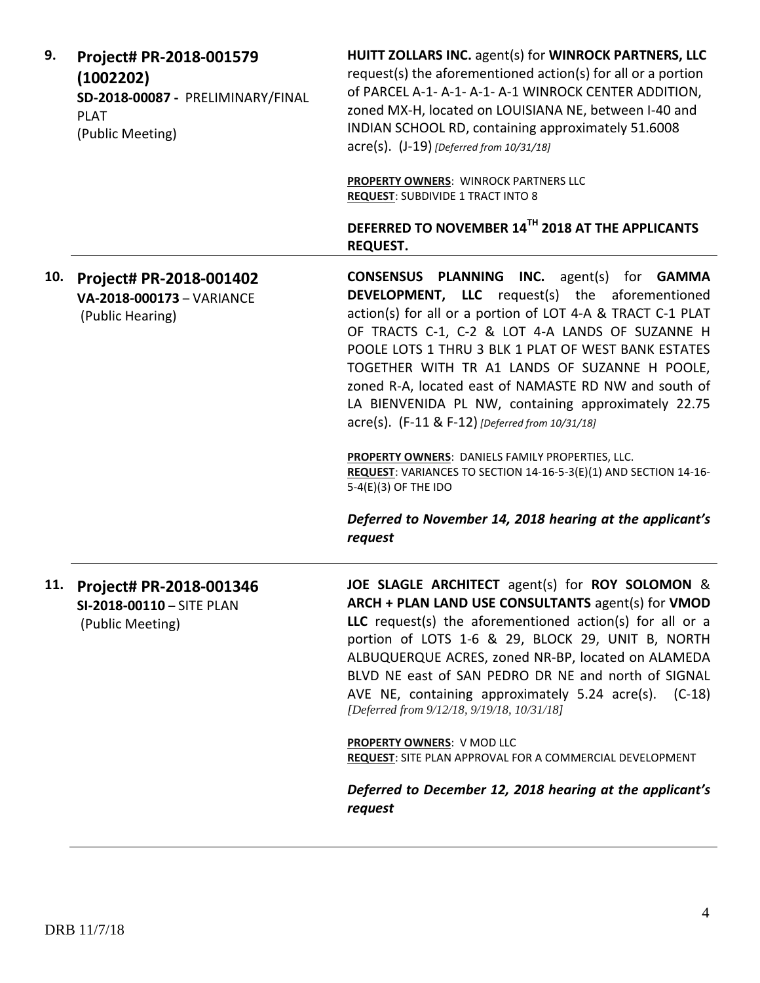| 9.  | Project# PR-2018-001579<br>(1002202)<br>SD-2018-00087 - PRELIMINARY/FINAL<br><b>PLAT</b><br>(Public Meeting) | HUITT ZOLLARS INC. agent(s) for WINROCK PARTNERS, LLC<br>request(s) the aforementioned action(s) for all or a portion<br>of PARCEL A-1- A-1- A-1- A-1 WINROCK CENTER ADDITION,<br>zoned MX-H, located on LOUISIANA NE, between I-40 and<br>INDIAN SCHOOL RD, containing approximately 51.6008<br>acre(s). (J-19) [Deferred from 10/31/18]<br><b>PROPERTY OWNERS: WINROCK PARTNERS LLC</b><br><b>REQUEST: SUBDIVIDE 1 TRACT INTO 8</b><br>DEFERRED TO NOVEMBER 14TH 2018 AT THE APPLICANTS                                                                                                                                 |
|-----|--------------------------------------------------------------------------------------------------------------|---------------------------------------------------------------------------------------------------------------------------------------------------------------------------------------------------------------------------------------------------------------------------------------------------------------------------------------------------------------------------------------------------------------------------------------------------------------------------------------------------------------------------------------------------------------------------------------------------------------------------|
|     |                                                                                                              | <b>REQUEST.</b>                                                                                                                                                                                                                                                                                                                                                                                                                                                                                                                                                                                                           |
| 10. | Project# PR-2018-001402<br>VA-2018-000173 - VARIANCE<br>(Public Hearing)                                     | <b>CONSENSUS PLANNING INC.</b> agent(s) for <b>GAMMA</b><br><b>DEVELOPMENT, LLC</b> request(s) the aforementioned<br>action(s) for all or a portion of LOT 4-A & TRACT C-1 PLAT<br>OF TRACTS C-1, C-2 & LOT 4-A LANDS OF SUZANNE H<br>POOLE LOTS 1 THRU 3 BLK 1 PLAT OF WEST BANK ESTATES<br>TOGETHER WITH TR A1 LANDS OF SUZANNE H POOLE,<br>zoned R-A, located east of NAMASTE RD NW and south of<br>LA BIENVENIDA PL NW, containing approximately 22.75<br>acre(s). (F-11 & F-12) [Deferred from 10/31/18]                                                                                                             |
|     |                                                                                                              | PROPERTY OWNERS: DANIELS FAMILY PROPERTIES, LLC.<br>REQUEST: VARIANCES TO SECTION 14-16-5-3(E)(1) AND SECTION 14-16-<br>5-4(E)(3) OF THE IDO                                                                                                                                                                                                                                                                                                                                                                                                                                                                              |
|     |                                                                                                              | Deferred to November 14, 2018 hearing at the applicant's<br>request                                                                                                                                                                                                                                                                                                                                                                                                                                                                                                                                                       |
| 11. | Project# PR-2018-001346<br>SI-2018-00110 - SITE PLAN<br>(Public Meeting)                                     | JOE SLAGLE ARCHITECT agent(s) for ROY SOLOMON &<br>ARCH + PLAN LAND USE CONSULTANTS agent(s) for VMOD<br><b>LLC</b> request(s) the aforementioned action(s) for all or a<br>portion of LOTS 1-6 & 29, BLOCK 29, UNIT B, NORTH<br>ALBUQUERQUE ACRES, zoned NR-BP, located on ALAMEDA<br>BLVD NE east of SAN PEDRO DR NE and north of SIGNAL<br>AVE NE, containing approximately 5.24 acre(s). (C-18)<br>[Deferred from 9/12/18, 9/19/18, 10/31/18]<br><b>PROPERTY OWNERS: V MOD LLC</b><br>REQUEST: SITE PLAN APPROVAL FOR A COMMERCIAL DEVELOPMENT<br>Deferred to December 12, 2018 hearing at the applicant's<br>request |
|     |                                                                                                              |                                                                                                                                                                                                                                                                                                                                                                                                                                                                                                                                                                                                                           |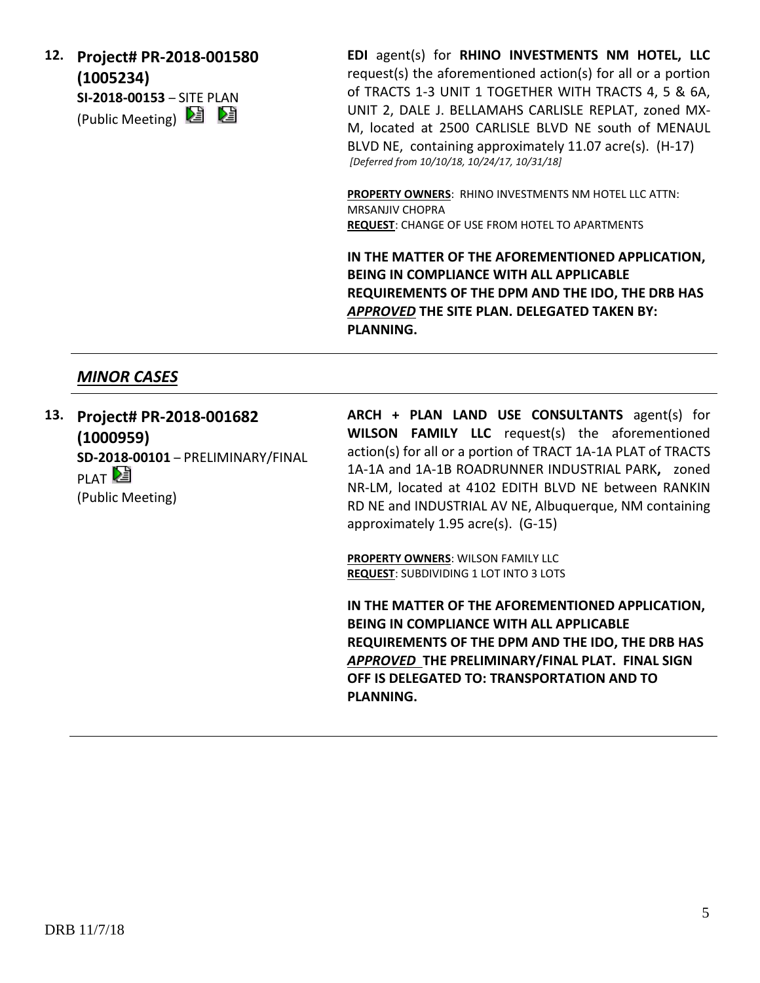**12. Project# PR-2018-001580 (1005234) SI-2018-00153** – SITE PLAN (Public Meeting) **2** 

**EDI** agent(s) for **RHINO INVESTMENTS NM HOTEL, LLC** request(s) the aforementioned action(s) for all or a portion of TRACTS 1-3 UNIT 1 TOGETHER WITH TRACTS 4, 5 & 6A, UNIT 2, DALE J. BELLAMAHS CARLISLE REPLAT, zoned MX-M, located at 2500 CARLISLE BLVD NE south of MENAUL BLVD NE, containing approximately 11.07 acre(s). (H-17) *[Deferred from 10/10/18, 10/24/17, 10/31/18]*

**PROPERTY OWNERS**: RHINO INVESTMENTS NM HOTEL LLC ATTN: MRSANJIV CHOPRA **REQUEST**: CHANGE OF USE FROM HOTEL TO APARTMENTS

**IN THE MATTER OF THE AFOREMENTIONED APPLICATION, BEING IN COMPLIANCE WITH ALL APPLICABLE REQUIREMENTS OF THE DPM AND THE IDO, THE DRB HAS**  *APPROVED* **THE SITE PLAN. DELEGATED TAKEN BY: PLANNING.**

# *MINOR CASES*

**13. Project# PR-2018-001682 (1000959) SD-2018-00101** – PRELIMINARY/FINAL PLAT<sup>[25]</sup> (Public Meeting)

**ARCH + PLAN LAND USE CONSULTANTS** agent(s) for **WILSON FAMILY LLC** request(s) the aforementioned action(s) for all or a portion of TRACT 1A-1A PLAT of TRACTS 1A-1A and 1A-1B ROADRUNNER INDUSTRIAL PARK**,** zoned NR-LM, located at 4102 EDITH BLVD NE between RANKIN RD NE and INDUSTRIAL AV NE, Albuquerque, NM containing approximately 1.95 acre(s). (G-15)

**PROPERTY OWNERS**: WILSON FAMILY LLC **REQUEST**: SUBDIVIDING 1 LOT INTO 3 LOTS

**IN THE MATTER OF THE AFOREMENTIONED APPLICATION, BEING IN COMPLIANCE WITH ALL APPLICABLE REQUIREMENTS OF THE DPM AND THE IDO, THE DRB HAS**  *APPROVED* **THE PRELIMINARY/FINAL PLAT. FINAL SIGN OFF IS DELEGATED TO: TRANSPORTATION AND TO PLANNING.**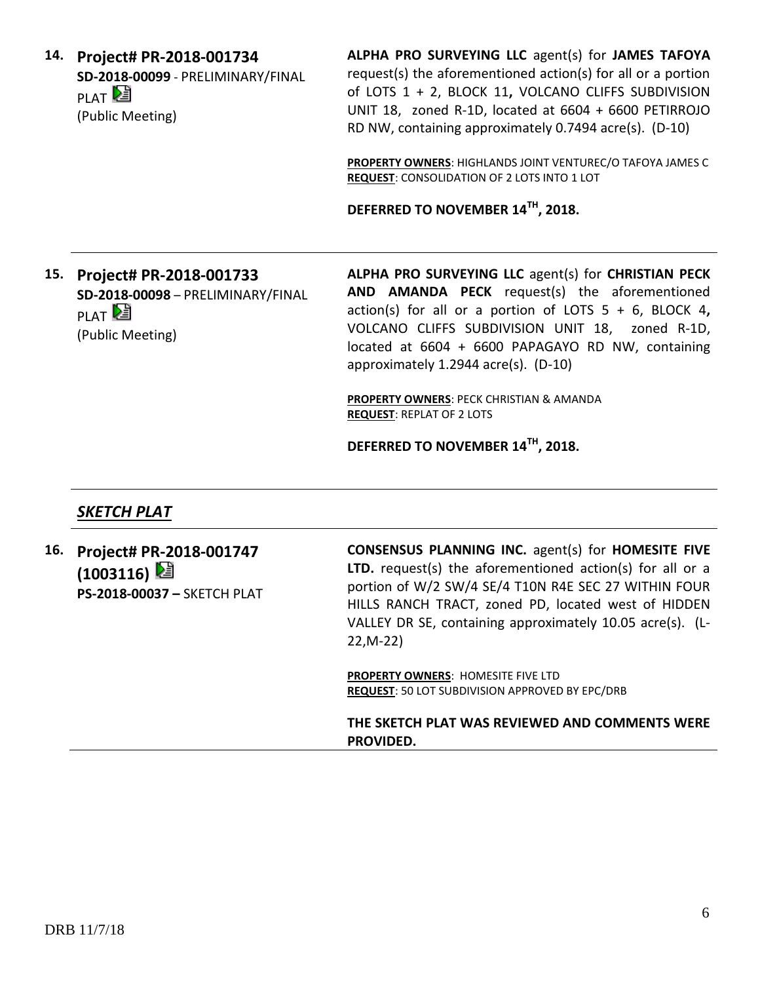**14. Project# PR-2018-001734 SD-2018-00099** - PRELIMINARY/FINAL PLAT<sup>D</sup> (Public Meeting)

**ALPHA PRO SURVEYING LLC** agent(s) for **JAMES TAFOYA** request(s) the aforementioned action(s) for all or a portion of LOTS 1 + 2, BLOCK 11**,** VOLCANO CLIFFS SUBDIVISION UNIT 18, zoned R-1D, located at 6604 + 6600 PETIRROJO RD NW, containing approximately 0.7494 acre(s). (D-10)

**PROPERTY OWNERS**: HIGHLANDS JOINT VENTUREC/O TAFOYA JAMES C **REQUEST**: CONSOLIDATION OF 2 LOTS INTO 1 LOT

**DEFERRED TO NOVEMBER 14TH , 2018.**

**15. Project# PR-2018-001733 SD-2018-00098** – PRELIMINARY/FINAL PLAT<sup>D</sup> (Public Meeting)

**ALPHA PRO SURVEYING LLC** agent(s) for **CHRISTIAN PECK AND AMANDA PECK** request(s) the aforementioned action(s) for all or a portion of LOTS 5 + 6, BLOCK 4**,** VOLCANO CLIFFS SUBDIVISION UNIT 18, zoned R-1D, located at 6604 + 6600 PAPAGAYO RD NW, containing approximately 1.2944 acre(s). (D-10)

**PROPERTY OWNERS**: PECK CHRISTIAN & AMANDA **REQUEST**: REPLAT OF 2 LOTS

**DEFERRED TO NOVEMBER 14TH , 2018.**

## *SKETCH PLAT*

**16. Project# PR-2018-001747 (1003116) PS-2018-00037 –** SKETCH PLAT **CONSENSUS PLANNING INC.** agent(s) for **HOMESITE FIVE LTD.** request(s) the aforementioned action(s) for all or a portion of W/2 SW/4 SE/4 T10N R4E SEC 27 WITHIN FOUR HILLS RANCH TRACT, zoned PD, located west of HIDDEN VALLEY DR SE, containing approximately 10.05 acre(s). (L-22,M-22) **PROPERTY OWNERS**: HOMESITE FIVE LTD **REQUEST**: 50 LOT SUBDIVISION APPROVED BY EPC/DRB **THE SKETCH PLAT WAS REVIEWED AND COMMENTS WERE PROVIDED.**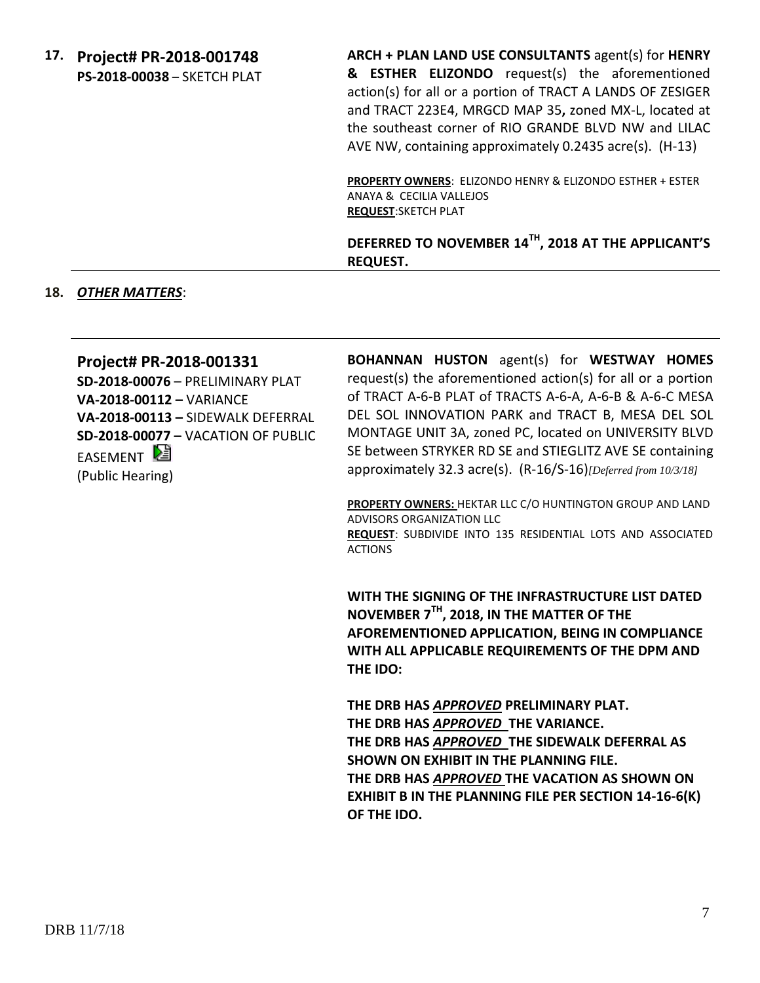**17. Project# PR-2018-001748 PS-2018-00038** – SKETCH PLAT **ARCH + PLAN LAND USE CONSULTANTS** agent(s) for **HENRY & ESTHER ELIZONDO** request(s) the aforementioned action(s) for all or a portion of TRACT A LANDS OF ZESIGER and TRACT 223E4, MRGCD MAP 35**,** zoned MX-L, located at the southeast corner of RIO GRANDE BLVD NW and LILAC AVE NW, containing approximately 0.2435 acre(s). (H-13)

**PROPERTY OWNERS**: ELIZONDO HENRY & ELIZONDO ESTHER + ESTER ANAYA & CECILIA VALLEJOS **REQUEST**:SKETCH PLAT

**DEFERRED TO NOVEMBER 14TH, 2018 AT THE APPLICANT'S REQUEST.**

#### **18.** *OTHER MATTERS*:

#### **Project# PR-2018-001331**

**SD-2018-00076** – PRELIMINARY PLAT **VA-2018-00112 –** VARIANCE **VA-2018-00113 –** SIDEWALK DEFERRAL **SD-2018-00077 –** VACATION OF PUBLIC EASEMENT<sup>D</sup> (Public Hearing)

**BOHANNAN HUSTON** agent(s) for **WESTWAY HOMES** request(s) the aforementioned action(s) for all or a portion of TRACT A-6-B PLAT of TRACTS A-6-A, A-6-B & A-6-C MESA DEL SOL INNOVATION PARK and TRACT B, MESA DEL SOL MONTAGE UNIT 3A, zoned PC, located on UNIVERSITY BLVD SE between STRYKER RD SE and STIEGLITZ AVE SE containing approximately 32.3 acre(s). (R-16/S-16)*[Deferred from 10/3/18]*

**PROPERTY OWNERS:** HEKTAR LLC C/O HUNTINGTON GROUP AND LAND ADVISORS ORGANIZATION LLC **REQUEST**: SUBDIVIDE INTO 135 RESIDENTIAL LOTS AND ASSOCIATED ACTIONS

**WITH THE SIGNING OF THE INFRASTRUCTURE LIST DATED NOVEMBER 7TH, 2018, IN THE MATTER OF THE AFOREMENTIONED APPLICATION, BEING IN COMPLIANCE WITH ALL APPLICABLE REQUIREMENTS OF THE DPM AND THE IDO:**

**THE DRB HAS** *APPROVED* **PRELIMINARY PLAT. THE DRB HAS** *APPROVED* **THE VARIANCE. THE DRB HAS** *APPROVED* **THE SIDEWALK DEFERRAL AS SHOWN ON EXHIBIT IN THE PLANNING FILE. THE DRB HAS** *APPROVED* **THE VACATION AS SHOWN ON EXHIBIT B IN THE PLANNING FILE PER SECTION 14-16-6(K) OF THE IDO.**